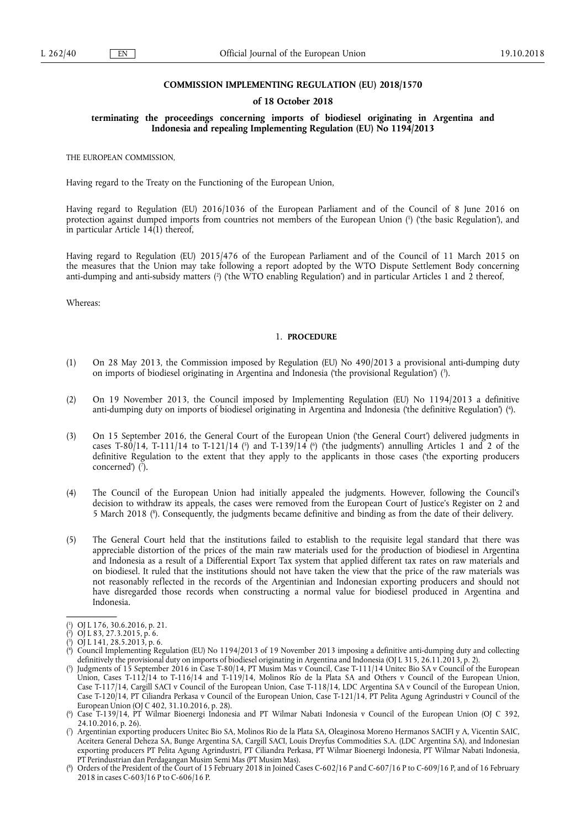## **COMMISSION IMPLEMENTING REGULATION (EU) 2018/1570**

### **of 18 October 2018**

## **terminating the proceedings concerning imports of biodiesel originating in Argentina and Indonesia and repealing Implementing Regulation (EU) No 1194/2013**

THE EUROPEAN COMMISSION,

Having regard to the Treaty on the Functioning of the European Union,

Having regard to Regulation (EU) 2016/1036 of the European Parliament and of the Council of 8 June 2016 on protection against dumped imports from countries not members of the European Union ( 1 ) ('the basic Regulation'), and in particular Article  $14(1)$  thereof,

Having regard to Regulation (EU) 2015/476 of the European Parliament and of the Council of 11 March 2015 on the measures that the Union may take following a report adopted by the WTO Dispute Settlement Body concerning anti-dumping and anti-subsidy matters (?) ('the WTO enabling Regulation') and in particular Articles 1 and 2 thereof,

Whereas:

#### 1. **PROCEDURE**

- (1) On 28 May 2013, the Commission imposed by Regulation (EU) No 490/2013 a provisional anti-dumping duty on imports of biodiesel originating in Argentina and Indonesia ('the provisional Regulation') ( 3 ).
- (2) On 19 November 2013, the Council imposed by Implementing Regulation (EU) No 1194/2013 a definitive anti-dumping duty on imports of biodiesel originating in Argentina and Indonesia ('the definitive Regulation') ( 4 ).
- (3) On 15 September 2016, the General Court of the European Union ('the General Court') delivered judgments in cases T-80/14, T-111/14 to T-121/14 ( $\degree$ ) and T-139/14 ( $\degree$ ) ('the judgments') annulling Articles 1 and 2 of the definitive Regulation to the extent that they apply to the applicants in those cases ('the exporting producers concerned') ( 7 ).
- (4) The Council of the European Union had initially appealed the judgments. However, following the Council's decision to withdraw its appeals, the cases were removed from the European Court of Justice's Register on 2 and 5 March 2018 ( 8 ). Consequently, the judgments became definitive and binding as from the date of their delivery.
- (5) The General Court held that the institutions failed to establish to the requisite legal standard that there was appreciable distortion of the prices of the main raw materials used for the production of biodiesel in Argentina and Indonesia as a result of a Differential Export Tax system that applied different tax rates on raw materials and on biodiesel. It ruled that the institutions should not have taken the view that the price of the raw materials was not reasonably reflected in the records of the Argentinian and Indonesian exporting producers and should not have disregarded those records when constructing a normal value for biodiesel produced in Argentina and Indonesia.

<sup>(</sup> 1 ) OJ L 176, 30.6.2016, p. 21.

<sup>(</sup> 2 ) OJ L 83, 27.3.2015, p. 6.

<sup>(</sup> 3  $\overrightarrow{O}$  L 141, 28.5.2013, p. 6.

<sup>(</sup> 4 ) Council Implementing Regulation (EU) No 1194/2013 of 19 November 2013 imposing a definitive anti-dumping duty and collecting definitively the provisional duty on imports of biodiesel originating in Argentina and Indonesia (OJ L 315, 26.11.2013, p. 2).

<sup>(</sup> 5 ) Judgments of 15 September 2016 in Case T-80/14, PT Musim Mas v Council, Case T-111/14 Unitec Bio SA v Council of the European Union, Cases T-112/14 to T-116/14 and T-119/14, Molinos Río de la Plata SA and Others v Council of the European Union, Case T-117/14, Cargill SACI v Council of the European Union, Case T-118/14, LDC Argentina SA v Council of the European Union, Case T-120/14, PT Ciliandra Perkasa v Council of the European Union, Case T-121/14, PT Pelita Agung Agrindustri v Council of the European Union (OJ C 402, 31.10.2016, p. 28).

<sup>(</sup> 6 ) Case T-139/14, PT Wilmar Bioenergi Indonesia and PT Wilmar Nabati Indonesia v Council of the European Union (OJ C 392, 24.10.2016, p. 26).

<sup>(</sup> 7 ) Argentinian exporting producers Unitec Bio SA, Molinos Rio de la Plata SA, Oleaginosa Moreno Hermanos SACIFI y A, Vicentin SAIC, Aceitera General Deheza SA, Bunge Argentina SA, Cargill SACI, Louis Dreyfus Commodities S.A. (LDC Argentina SA), and Indonesian exporting producers PT Pelita Agung Agrindustri, PT Ciliandra Perkasa, PT Wilmar Bioenergi Indonesia, PT Wilmar Nabati Indonesia, PT Perindustrian dan Perdagangan Musim Semi Mas (PT Musim Mas).

<sup>(</sup> 8 ) Orders of the President of the Court of 15 February 2018 in Joined Cases C-602/16 P and C-607/16 P to C-609/16 P, and of 16 February 2018 in cases C-603/16 P to C-606/16 P.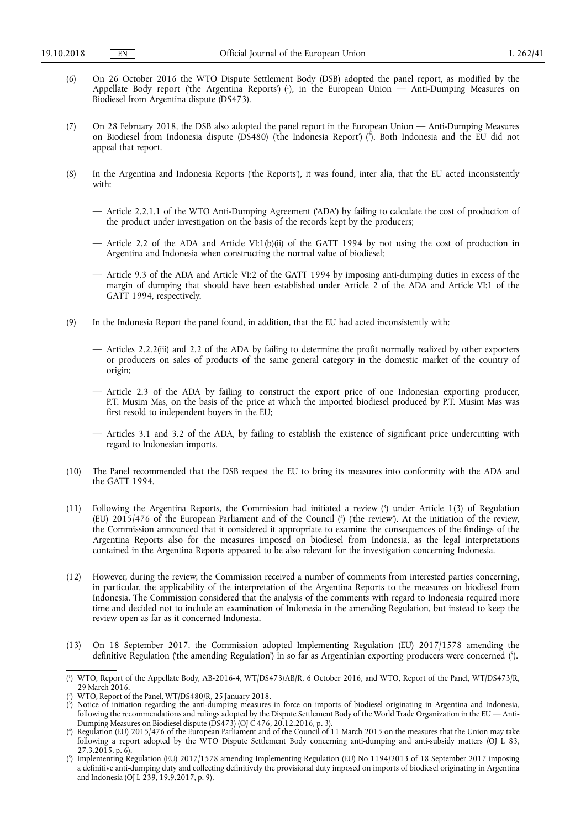- (6) On 26 October 2016 the WTO Dispute Settlement Body (DSB) adopted the panel report, as modified by the Appellate Body report ('the Argentina Reports') ( 1 ), in the European Union — Anti-Dumping Measures on Biodiesel from Argentina dispute (DS473).
- (7) On 28 February 2018, the DSB also adopted the panel report in the European Union Anti-Dumping Measures on Biodiesel from Indonesia dispute (DS480) ('the Indonesia Report') ( 2 ). Both Indonesia and the EU did not appeal that report.
- (8) In the Argentina and Indonesia Reports ('the Reports'), it was found, inter alia, that the EU acted inconsistently with:
	- Article 2.2.1.1 of the WTO Anti-Dumping Agreement ('ADA') by failing to calculate the cost of production of the product under investigation on the basis of the records kept by the producers;
	- Article 2.2 of the ADA and Article VI:1(b)(ii) of the GATT 1994 by not using the cost of production in Argentina and Indonesia when constructing the normal value of biodiesel;
	- Article 9.3 of the ADA and Article VI:2 of the GATT 1994 by imposing anti-dumping duties in excess of the margin of dumping that should have been established under Article 2 of the ADA and Article VI:1 of the GATT 1994, respectively.
- (9) In the Indonesia Report the panel found, in addition, that the EU had acted inconsistently with:
	- Articles 2.2.2(iii) and 2.2 of the ADA by failing to determine the profit normally realized by other exporters or producers on sales of products of the same general category in the domestic market of the country of origin;
	- Article 2.3 of the ADA by failing to construct the export price of one Indonesian exporting producer, P.T. Musim Mas, on the basis of the price at which the imported biodiesel produced by P.T. Musim Mas was first resold to independent buyers in the EU;
	- Articles 3.1 and 3.2 of the ADA, by failing to establish the existence of significant price undercutting with regard to Indonesian imports.
- (10) The Panel recommended that the DSB request the EU to bring its measures into conformity with the ADA and the GATT 1994.
- (11) Following the Argentina Reports, the Commission had initiated a review ( 3 ) under Article 1(3) of Regulation (EU) 2015/476 of the European Parliament and of the Council ( 4 ) ('the review'). At the initiation of the review, the Commission announced that it considered it appropriate to examine the consequences of the findings of the Argentina Reports also for the measures imposed on biodiesel from Indonesia, as the legal interpretations contained in the Argentina Reports appeared to be also relevant for the investigation concerning Indonesia.
- (12) However, during the review, the Commission received a number of comments from interested parties concerning, in particular, the applicability of the interpretation of the Argentina Reports to the measures on biodiesel from Indonesia. The Commission considered that the analysis of the comments with regard to Indonesia required more time and decided not to include an examination of Indonesia in the amending Regulation, but instead to keep the review open as far as it concerned Indonesia.
- (13) On 18 September 2017, the Commission adopted Implementing Regulation (EU) 2017/1578 amending the definitive Regulation ('the amending Regulation') in so far as Argentinian exporting producers were concerned ( 5 ).

<sup>(</sup> 1 ) WTO, Report of the Appellate Body, AB-2016-4, WT/DS473/AB/R, 6 October 2016, and WTO, Report of the Panel, WT/DS473/R, 29 March 2016.

<sup>(</sup> 2 ) WTO, Report of the Panel, WT/DS480/R, 25 January 2018.

<sup>(</sup> 3 ) Notice of initiation regarding the anti-dumping measures in force on imports of biodiesel originating in Argentina and Indonesia, following the recommendations and rulings adopted by the Dispute Settlement Body of the World Trade Organization in the EU — Anti-Dumping Measures on Biodiesel dispute (DS473) (OJ C 476, 20.12.2016, p. 3).

<sup>(</sup> 4 ) Regulation (EU) 2015/476 of the European Parliament and of the Council of 11 March 2015 on the measures that the Union may take following a report adopted by the WTO Dispute Settlement Body concerning anti-dumping and anti-subsidy matters (OJ L 83,  $27.3.2015$ , p. 6).

<sup>(</sup> 5 ) Implementing Regulation (EU) 2017/1578 amending Implementing Regulation (EU) No 1194/2013 of 18 September 2017 imposing a definitive anti-dumping duty and collecting definitively the provisional duty imposed on imports of biodiesel originating in Argentina and Indonesia (OJ L 239, 19.9.2017, p. 9).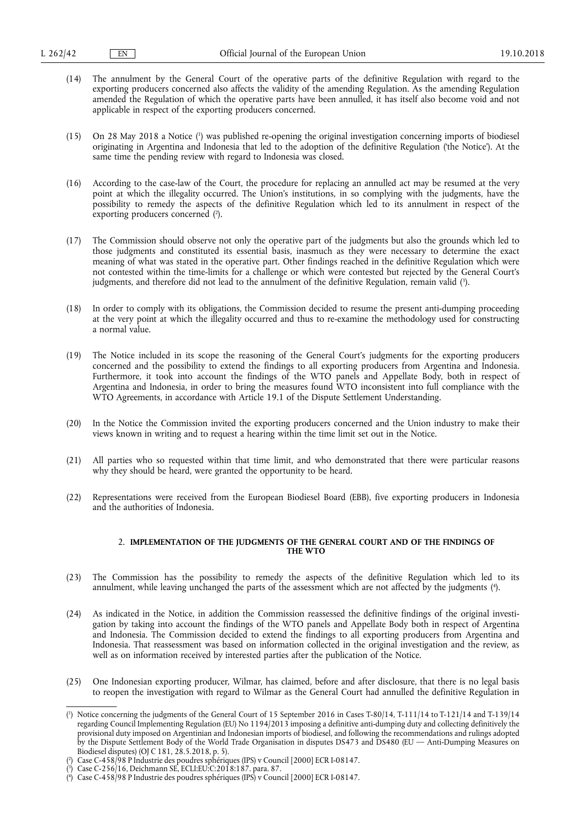- (14) The annulment by the General Court of the operative parts of the definitive Regulation with regard to the exporting producers concerned also affects the validity of the amending Regulation. As the amending Regulation amended the Regulation of which the operative parts have been annulled, it has itself also become void and not applicable in respect of the exporting producers concerned.
- (15) On 28 May 2018 a Notice ( 1 ) was published re-opening the original investigation concerning imports of biodiesel originating in Argentina and Indonesia that led to the adoption of the definitive Regulation ('the Notice'). At the same time the pending review with regard to Indonesia was closed.
- (16) According to the case-law of the Court, the procedure for replacing an annulled act may be resumed at the very point at which the illegality occurred. The Union's institutions, in so complying with the judgments, have the possibility to remedy the aspects of the definitive Regulation which led to its annulment in respect of the exporting producers concerned (2).
- (17) The Commission should observe not only the operative part of the judgments but also the grounds which led to those judgments and constituted its essential basis, inasmuch as they were necessary to determine the exact meaning of what was stated in the operative part. Other findings reached in the definitive Regulation which were not contested within the time-limits for a challenge or which were contested but rejected by the General Court's judgments, and therefore did not lead to the annulment of the definitive Regulation, remain valid ( 3 ).
- (18) In order to comply with its obligations, the Commission decided to resume the present anti-dumping proceeding at the very point at which the illegality occurred and thus to re-examine the methodology used for constructing a normal value.
- (19) The Notice included in its scope the reasoning of the General Court's judgments for the exporting producers concerned and the possibility to extend the findings to all exporting producers from Argentina and Indonesia. Furthermore, it took into account the findings of the WTO panels and Appellate Body, both in respect of Argentina and Indonesia, in order to bring the measures found WTO inconsistent into full compliance with the WTO Agreements, in accordance with Article 19.1 of the Dispute Settlement Understanding.
- (20) In the Notice the Commission invited the exporting producers concerned and the Union industry to make their views known in writing and to request a hearing within the time limit set out in the Notice.
- (21) All parties who so requested within that time limit, and who demonstrated that there were particular reasons why they should be heard, were granted the opportunity to be heard.
- (22) Representations were received from the European Biodiesel Board (EBB), five exporting producers in Indonesia and the authorities of Indonesia.

## 2. **IMPLEMENTATION OF THE JUDGMENTS OF THE GENERAL COURT AND OF THE FINDINGS OF THE WTO**

- (23) The Commission has the possibility to remedy the aspects of the definitive Regulation which led to its annulment, while leaving unchanged the parts of the assessment which are not affected by the judgments ( 4 ).
- (24) As indicated in the Notice, in addition the Commission reassessed the definitive findings of the original investigation by taking into account the findings of the WTO panels and Appellate Body both in respect of Argentina and Indonesia. The Commission decided to extend the findings to all exporting producers from Argentina and Indonesia. That reassessment was based on information collected in the original investigation and the review, as well as on information received by interested parties after the publication of the Notice.
- (25) One Indonesian exporting producer, Wilmar, has claimed, before and after disclosure, that there is no legal basis to reopen the investigation with regard to Wilmar as the General Court had annulled the definitive Regulation in

<sup>(</sup> 1 ) Notice concerning the judgments of the General Court of 15 September 2016 in Cases T-80/14, T-111/14 to T-121/14 and T-139/14 regarding Council Implementing Regulation (EU) No 1194/2013 imposing a definitive anti-dumping duty and collecting definitively the provisional duty imposed on Argentinian and Indonesian imports of biodiesel, and following the recommendations and rulings adopted by the Dispute Settlement Body of the World Trade Organisation in disputes DS473 and DS480 (EU — Anti-Dumping Measures on Biodiesel disputes) (OJ C 181, 28.5.2018, p. 5).

<sup>(</sup> 2 ) Case C-458/98 P Industrie des poudres sphériques (IPS) v Council [2000] ECR I-08147.

<sup>(</sup> 3 ) Case C-256/16, Deichmann SE, ECLI:EU:C:2018:187. para. 87.

<sup>(</sup> 4 ) Case C-458/98 P Industrie des poudres sphériques (IPS) v Council [2000] ECR I-08147.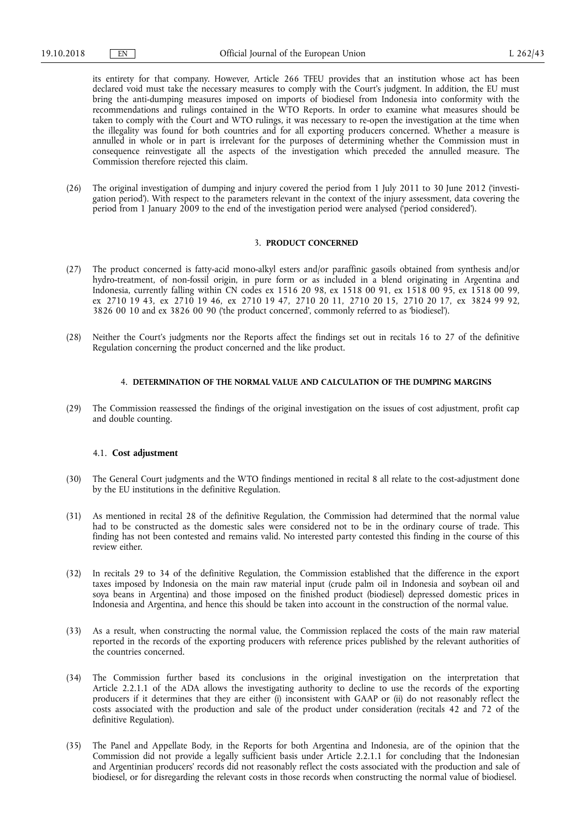its entirety for that company. However, Article 266 TFEU provides that an institution whose act has been declared void must take the necessary measures to comply with the Court's judgment. In addition, the EU must bring the anti-dumping measures imposed on imports of biodiesel from Indonesia into conformity with the recommendations and rulings contained in the WTO Reports. In order to examine what measures should be taken to comply with the Court and WTO rulings, it was necessary to re-open the investigation at the time when the illegality was found for both countries and for all exporting producers concerned. Whether a measure is annulled in whole or in part is irrelevant for the purposes of determining whether the Commission must in consequence reinvestigate all the aspects of the investigation which preceded the annulled measure. The Commission therefore rejected this claim.

(26) The original investigation of dumping and injury covered the period from 1 July 2011 to 30 June 2012 ('investigation period'). With respect to the parameters relevant in the context of the injury assessment, data covering the period from 1 January 2009 to the end of the investigation period were analysed ('period considered').

# 3. **PRODUCT CONCERNED**

- (27) The product concerned is fatty-acid mono-alkyl esters and/or paraffinic gasoils obtained from synthesis and/or hydro-treatment, of non-fossil origin, in pure form or as included in a blend originating in Argentina and Indonesia, currently falling within CN codes ex 1516 20 98, ex 1518 00 91, ex 1518 00 95, ex 1518 00 99, ex 2710 19 43, ex 2710 19 46, ex 2710 19 47, 2710 20 11, 2710 20 15, 2710 20 17, ex 3824 99 92, 3826 00 10 and ex 3826 00 90 ('the product concerned', commonly referred to as 'biodiesel').
- (28) Neither the Court's judgments nor the Reports affect the findings set out in recitals 16 to 27 of the definitive Regulation concerning the product concerned and the like product.

# 4. **DETERMINATION OF THE NORMAL VALUE AND CALCULATION OF THE DUMPING MARGINS**

(29) The Commission reassessed the findings of the original investigation on the issues of cost adjustment, profit cap and double counting.

#### 4.1. **Cost adjustment**

- (30) The General Court judgments and the WTO findings mentioned in recital 8 all relate to the cost-adjustment done by the EU institutions in the definitive Regulation.
- (31) As mentioned in recital 28 of the definitive Regulation, the Commission had determined that the normal value had to be constructed as the domestic sales were considered not to be in the ordinary course of trade. This finding has not been contested and remains valid. No interested party contested this finding in the course of this review either.
- (32) In recitals 29 to 34 of the definitive Regulation, the Commission established that the difference in the export taxes imposed by Indonesia on the main raw material input (crude palm oil in Indonesia and soybean oil and soya beans in Argentina) and those imposed on the finished product (biodiesel) depressed domestic prices in Indonesia and Argentina, and hence this should be taken into account in the construction of the normal value.
- (33) As a result, when constructing the normal value, the Commission replaced the costs of the main raw material reported in the records of the exporting producers with reference prices published by the relevant authorities of the countries concerned.
- (34) The Commission further based its conclusions in the original investigation on the interpretation that Article 2.2.1.1 of the ADA allows the investigating authority to decline to use the records of the exporting producers if it determines that they are either (i) inconsistent with GAAP or (ii) do not reasonably reflect the costs associated with the production and sale of the product under consideration (recitals 42 and 72 of the definitive Regulation).
- (35) The Panel and Appellate Body, in the Reports for both Argentina and Indonesia, are of the opinion that the Commission did not provide a legally sufficient basis under Article 2.2.1.1 for concluding that the Indonesian and Argentinian producers' records did not reasonably reflect the costs associated with the production and sale of biodiesel, or for disregarding the relevant costs in those records when constructing the normal value of biodiesel.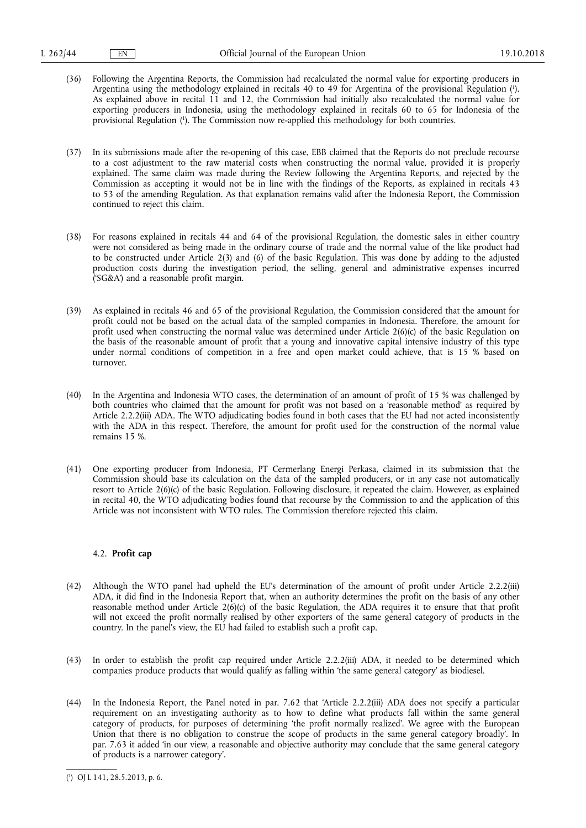- (36) Following the Argentina Reports, the Commission had recalculated the normal value for exporting producers in Argentina using the methodology explained in recitals 40 to 49 for Argentina of the provisional Regulation (<sup>1</sup>). As explained above in recital 11 and 12, the Commission had initially also recalculated the normal value for exporting producers in Indonesia, using the methodology explained in recitals 60 to 65 for Indonesia of the provisional Regulation ( 1 ). The Commission now re-applied this methodology for both countries.
- (37) In its submissions made after the re-opening of this case, EBB claimed that the Reports do not preclude recourse to a cost adjustment to the raw material costs when constructing the normal value, provided it is properly explained. The same claim was made during the Review following the Argentina Reports, and rejected by the Commission as accepting it would not be in line with the findings of the Reports, as explained in recitals 43 to 53 of the amending Regulation. As that explanation remains valid after the Indonesia Report, the Commission continued to reject this claim.
- (38) For reasons explained in recitals 44 and 64 of the provisional Regulation, the domestic sales in either country were not considered as being made in the ordinary course of trade and the normal value of the like product had to be constructed under Article 2(3) and (6) of the basic Regulation. This was done by adding to the adjusted production costs during the investigation period, the selling, general and administrative expenses incurred ('SG&A') and a reasonable profit margin.
- (39) As explained in recitals 46 and 65 of the provisional Regulation, the Commission considered that the amount for profit could not be based on the actual data of the sampled companies in Indonesia. Therefore, the amount for profit used when constructing the normal value was determined under Article 2(6)(c) of the basic Regulation on the basis of the reasonable amount of profit that a young and innovative capital intensive industry of this type under normal conditions of competition in a free and open market could achieve, that is 15 % based on turnover.
- (40) In the Argentina and Indonesia WTO cases, the determination of an amount of profit of 15 % was challenged by both countries who claimed that the amount for profit was not based on a 'reasonable method' as required by Article 2.2.2(iii) ADA. The WTO adjudicating bodies found in both cases that the EU had not acted inconsistently with the ADA in this respect. Therefore, the amount for profit used for the construction of the normal value remains 15 %.
- (41) One exporting producer from Indonesia, PT Cermerlang Energi Perkasa, claimed in its submission that the Commission should base its calculation on the data of the sampled producers, or in any case not automatically resort to Article 2(6)(c) of the basic Regulation. Following disclosure, it repeated the claim. However, as explained in recital 40, the WTO adjudicating bodies found that recourse by the Commission to and the application of this Article was not inconsistent with WTO rules. The Commission therefore rejected this claim.

# 4.2. **Profit cap**

- (42) Although the WTO panel had upheld the EU's determination of the amount of profit under Article 2.2.2(iii) ADA, it did find in the Indonesia Report that, when an authority determines the profit on the basis of any other reasonable method under Article  $2(6)(c)$  of the basic Regulation, the ADA requires it to ensure that that profit will not exceed the profit normally realised by other exporters of the same general category of products in the country. In the panel's view, the EU had failed to establish such a profit cap.
- (43) In order to establish the profit cap required under Article 2.2.2(iii) ADA, it needed to be determined which companies produce products that would qualify as falling within 'the same general category' as biodiesel.
- (44) In the Indonesia Report, the Panel noted in par. 7.62 that 'Article 2.2.2(iii) ADA does not specify a particular requirement on an investigating authority as to how to define what products fall within the same general category of products, for purposes of determining 'the profit normally realized'. We agree with the European Union that there is no obligation to construe the scope of products in the same general category broadly'. In par. 7.63 it added 'in our view, a reasonable and objective authority may conclude that the same general category of products is a narrower category'.

<sup>(</sup> 1 ) OJ L 141, 28.5.2013, p. 6.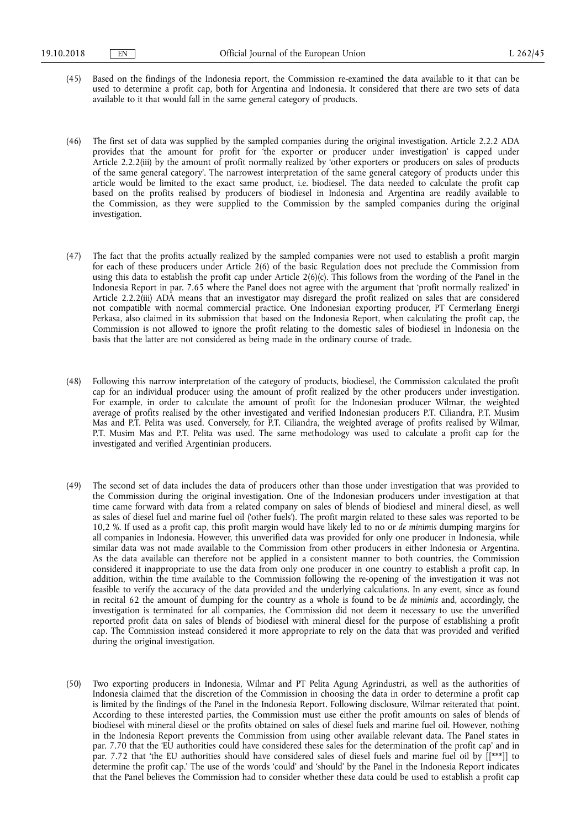(45) Based on the findings of the Indonesia report, the Commission re-examined the data available to it that can be used to determine a profit cap, both for Argentina and Indonesia. It considered that there are two sets of data available to it that would fall in the same general category of products.

(46) The first set of data was supplied by the sampled companies during the original investigation. Article 2.2.2 ADA provides that the amount for profit for 'the exporter or producer under investigation' is capped under Article 2.2.2(iii) by the amount of profit normally realized by 'other exporters or producers on sales of products of the same general category'. The narrowest interpretation of the same general category of products under this article would be limited to the exact same product, i.e. biodiesel. The data needed to calculate the profit cap based on the profits realised by producers of biodiesel in Indonesia and Argentina are readily available to the Commission, as they were supplied to the Commission by the sampled companies during the original investigation.

- (47) The fact that the profits actually realized by the sampled companies were not used to establish a profit margin for each of these producers under Article 2(6) of the basic Regulation does not preclude the Commission from using this data to establish the profit cap under Article 2(6)(c). This follows from the wording of the Panel in the Indonesia Report in par. 7.65 where the Panel does not agree with the argument that 'profit normally realized' in Article 2.2.2(iii) ADA means that an investigator may disregard the profit realized on sales that are considered not compatible with normal commercial practice. One Indonesian exporting producer, PT Cermerlang Energi Perkasa, also claimed in its submission that based on the Indonesia Report, when calculating the profit cap, the Commission is not allowed to ignore the profit relating to the domestic sales of biodiesel in Indonesia on the basis that the latter are not considered as being made in the ordinary course of trade.
- (48) Following this narrow interpretation of the category of products, biodiesel, the Commission calculated the profit cap for an individual producer using the amount of profit realized by the other producers under investigation. For example, in order to calculate the amount of profit for the Indonesian producer Wilmar, the weighted average of profits realised by the other investigated and verified Indonesian producers P.T. Ciliandra, P.T. Musim Mas and P.T. Pelita was used. Conversely, for P.T. Ciliandra, the weighted average of profits realised by Wilmar, P.T. Musim Mas and P.T. Pelita was used. The same methodology was used to calculate a profit cap for the investigated and verified Argentinian producers.
- (49) The second set of data includes the data of producers other than those under investigation that was provided to the Commission during the original investigation. One of the Indonesian producers under investigation at that time came forward with data from a related company on sales of blends of biodiesel and mineral diesel, as well as sales of diesel fuel and marine fuel oil ('other fuels'). The profit margin related to these sales was reported to be 10,2 %. If used as a profit cap, this profit margin would have likely led to no or *de minimis* dumping margins for all companies in Indonesia. However, this unverified data was provided for only one producer in Indonesia, while similar data was not made available to the Commission from other producers in either Indonesia or Argentina. As the data available can therefore not be applied in a consistent manner to both countries, the Commission considered it inappropriate to use the data from only one producer in one country to establish a profit cap. In addition, within the time available to the Commission following the re-opening of the investigation it was not feasible to verify the accuracy of the data provided and the underlying calculations. In any event, since as found in recital 62 the amount of dumping for the country as a whole is found to be *de minimis* and, accordingly, the investigation is terminated for all companies, the Commission did not deem it necessary to use the unverified reported profit data on sales of blends of biodiesel with mineral diesel for the purpose of establishing a profit cap. The Commission instead considered it more appropriate to rely on the data that was provided and verified during the original investigation.
- (50) Two exporting producers in Indonesia, Wilmar and PT Pelita Agung Agrindustri, as well as the authorities of Indonesia claimed that the discretion of the Commission in choosing the data in order to determine a profit cap is limited by the findings of the Panel in the Indonesia Report. Following disclosure, Wilmar reiterated that point. According to these interested parties, the Commission must use either the profit amounts on sales of blends of biodiesel with mineral diesel or the profits obtained on sales of diesel fuels and marine fuel oil. However, nothing in the Indonesia Report prevents the Commission from using other available relevant data. The Panel states in par. 7.70 that the 'EU authorities could have considered these sales for the determination of the profit cap' and in par. 7.72 that 'the EU authorities should have considered sales of diesel fuels and marine fuel oil by [[\*\*\*]] to determine the profit cap.' The use of the words 'could' and 'should' by the Panel in the Indonesia Report indicates that the Panel believes the Commission had to consider whether these data could be used to establish a profit cap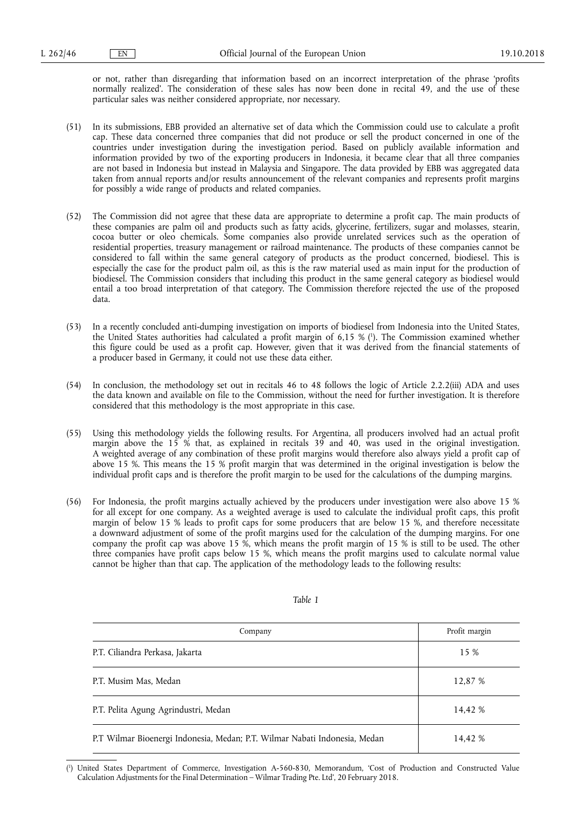or not, rather than disregarding that information based on an incorrect interpretation of the phrase 'profits normally realized'. The consideration of these sales has now been done in recital 49, and the use of these particular sales was neither considered appropriate, nor necessary.

- (51) In its submissions, EBB provided an alternative set of data which the Commission could use to calculate a profit cap. These data concerned three companies that did not produce or sell the product concerned in one of the countries under investigation during the investigation period. Based on publicly available information and information provided by two of the exporting producers in Indonesia, it became clear that all three companies are not based in Indonesia but instead in Malaysia and Singapore. The data provided by EBB was aggregated data taken from annual reports and/or results announcement of the relevant companies and represents profit margins for possibly a wide range of products and related companies.
- (52) The Commission did not agree that these data are appropriate to determine a profit cap. The main products of these companies are palm oil and products such as fatty acids, glycerine, fertilizers, sugar and molasses, stearin, cocoa butter or oleo chemicals. Some companies also provide unrelated services such as the operation of residential properties, treasury management or railroad maintenance. The products of these companies cannot be considered to fall within the same general category of products as the product concerned, biodiesel. This is especially the case for the product palm oil, as this is the raw material used as main input for the production of biodiesel. The Commission considers that including this product in the same general category as biodiesel would entail a too broad interpretation of that category. The Commission therefore rejected the use of the proposed data.
- (53) In a recently concluded anti-dumping investigation on imports of biodiesel from Indonesia into the United States, the United States authorities had calculated a profit margin of 6,15 % ( 1 ). The Commission examined whether this figure could be used as a profit cap. However, given that it was derived from the financial statements of a producer based in Germany, it could not use these data either.
- (54) In conclusion, the methodology set out in recitals 46 to 48 follows the logic of Article 2.2.2(iii) ADA and uses the data known and available on file to the Commission, without the need for further investigation. It is therefore considered that this methodology is the most appropriate in this case.
- (55) Using this methodology yields the following results. For Argentina, all producers involved had an actual profit margin above the 15 % that, as explained in recitals 39 and 40, was used in the original investigation. A weighted average of any combination of these profit margins would therefore also always yield a profit cap of above 15 %. This means the 15 % profit margin that was determined in the original investigation is below the individual profit caps and is therefore the profit margin to be used for the calculations of the dumping margins.
- (56) For Indonesia, the profit margins actually achieved by the producers under investigation were also above 15 % for all except for one company. As a weighted average is used to calculate the individual profit caps, this profit margin of below 15 % leads to profit caps for some producers that are below 15 %, and therefore necessitate a downward adjustment of some of the profit margins used for the calculation of the dumping margins. For one company the profit cap was above 15 %, which means the profit margin of 15 % is still to be used. The other three companies have profit caps below 15 %, which means the profit margins used to calculate normal value cannot be higher than that cap. The application of the methodology leads to the following results:

| Company                                                                    | Profit margin |
|----------------------------------------------------------------------------|---------------|
| P.T. Ciliandra Perkasa, Jakarta                                            | 15 %          |
| P.T. Musim Mas, Medan                                                      | 12,87 %       |
| P.T. Pelita Agung Agrindustri, Medan                                       | 14,42 %       |
| P.T Wilmar Bioenergi Indonesia, Medan; P.T. Wilmar Nabati Indonesia, Medan | 14,42 %       |

*Table 1* 

<sup>(</sup> 1 ) United States Department of Commerce, Investigation A-560-830, Memorandum, 'Cost of Production and Constructed Value Calculation Adjustments for the Final Determination – Wilmar Trading Pte. Ltd', 20 February 2018.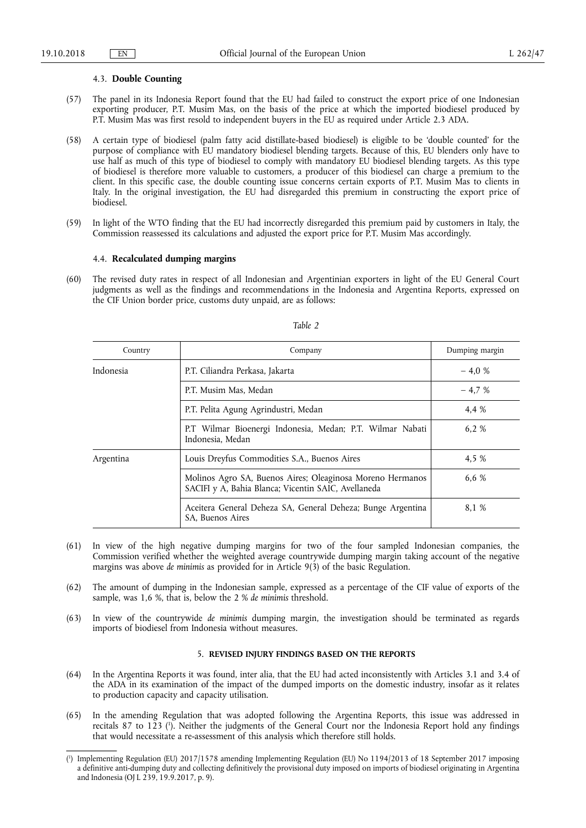#### 4.3. **Double Counting**

- (57) The panel in its Indonesia Report found that the EU had failed to construct the export price of one Indonesian exporting producer, P.T. Musim Mas, on the basis of the price at which the imported biodiesel produced by P.T. Musim Mas was first resold to independent buyers in the EU as required under Article 2.3 ADA.
- (58) A certain type of biodiesel (palm fatty acid distillate-based biodiesel) is eligible to be 'double counted' for the purpose of compliance with EU mandatory biodiesel blending targets. Because of this, EU blenders only have to use half as much of this type of biodiesel to comply with mandatory EU biodiesel blending targets. As this type of biodiesel is therefore more valuable to customers, a producer of this biodiesel can charge a premium to the client. In this specific case, the double counting issue concerns certain exports of P.T. Musim Mas to clients in Italy. In the original investigation, the EU had disregarded this premium in constructing the export price of biodiesel.
- (59) In light of the WTO finding that the EU had incorrectly disregarded this premium paid by customers in Italy, the Commission reassessed its calculations and adjusted the export price for P.T. Musim Mas accordingly.

## 4.4. **Recalculated dumping margins**

(60) The revised duty rates in respect of all Indonesian and Argentinian exporters in light of the EU General Court judgments as well as the findings and recommendations in the Indonesia and Argentina Reports, expressed on the CIF Union border price, customs duty unpaid, are as follows:

| Country   | Company                                                                                                          | Dumping margin |  |  |
|-----------|------------------------------------------------------------------------------------------------------------------|----------------|--|--|
| Indonesia | P.T. Ciliandra Perkasa, Jakarta                                                                                  | $-4.0%$        |  |  |
|           | P.T. Musim Mas, Medan                                                                                            |                |  |  |
|           | P.T. Pelita Agung Agrindustri, Medan                                                                             | 4.4 %          |  |  |
|           | P.T Wilmar Bioenergi Indonesia, Medan; P.T. Wilmar Nabati<br>Indonesia, Medan                                    | 6.2 %          |  |  |
| Argentina | Louis Dreyfus Commodities S.A., Buenos Aires                                                                     | 4.5 %          |  |  |
|           | Molinos Agro SA, Buenos Aires; Oleaginosa Moreno Hermanos<br>SACIFI y A, Bahia Blanca; Vicentin SAIC, Avellaneda | 6.6 %          |  |  |
|           | Aceitera General Deheza SA, General Deheza; Bunge Argentina<br>SA. Buenos Aires                                  | 8.1 %          |  |  |

### *Table 2*

- (61) In view of the high negative dumping margins for two of the four sampled Indonesian companies, the Commission verified whether the weighted average countrywide dumping margin taking account of the negative margins was above *de minimis* as provided for in Article 9(3) of the basic Regulation.
- (62) The amount of dumping in the Indonesian sample, expressed as a percentage of the CIF value of exports of the sample, was 1,6 %, that is, below the 2 % *de minimis* threshold.
- (63) In view of the countrywide *de minimis* dumping margin, the investigation should be terminated as regards imports of biodiesel from Indonesia without measures.

## 5. **REVISED INJURY FINDINGS BASED ON THE REPORTS**

- (64) In the Argentina Reports it was found, inter alia, that the EU had acted inconsistently with Articles 3.1 and 3.4 of the ADA in its examination of the impact of the dumped imports on the domestic industry, insofar as it relates to production capacity and capacity utilisation.
- (65) In the amending Regulation that was adopted following the Argentina Reports, this issue was addressed in recitals 87 to 123 ( 1 ). Neither the judgments of the General Court nor the Indonesia Report hold any findings that would necessitate a re-assessment of this analysis which therefore still holds.

<sup>(</sup> 1 ) Implementing Regulation (EU) 2017/1578 amending Implementing Regulation (EU) No 1194/2013 of 18 September 2017 imposing a definitive anti-dumping duty and collecting definitively the provisional duty imposed on imports of biodiesel originating in Argentina and Indonesia (OJ L 239, 19.9.2017, p. 9).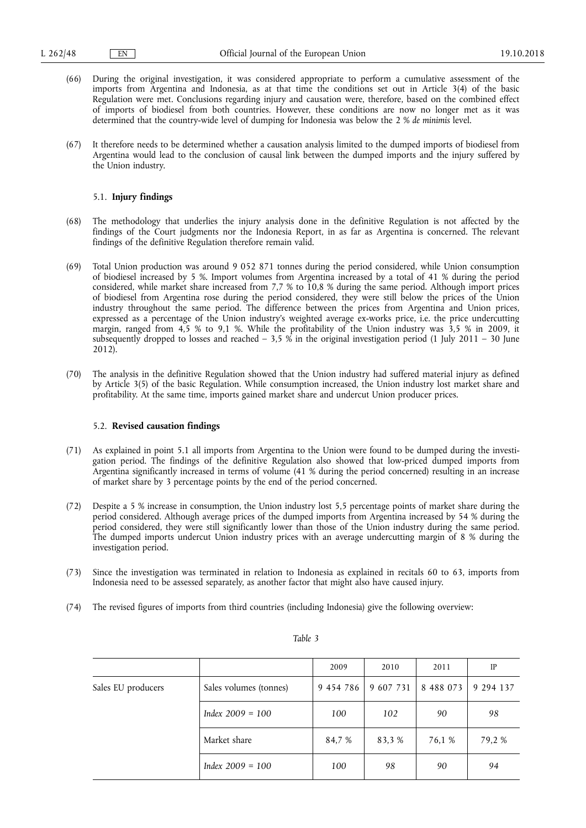- (66) During the original investigation, it was considered appropriate to perform a cumulative assessment of the imports from Argentina and Indonesia, as at that time the conditions set out in Article 3(4) of the basic Regulation were met. Conclusions regarding injury and causation were, therefore, based on the combined effect of imports of biodiesel from both countries. However, these conditions are now no longer met as it was determined that the country-wide level of dumping for Indonesia was below the 2 % *de minimis* level.
- (67) It therefore needs to be determined whether a causation analysis limited to the dumped imports of biodiesel from Argentina would lead to the conclusion of causal link between the dumped imports and the injury suffered by the Union industry.

## 5.1. **Injury findings**

- (68) The methodology that underlies the injury analysis done in the definitive Regulation is not affected by the findings of the Court judgments nor the Indonesia Report, in as far as Argentina is concerned. The relevant findings of the definitive Regulation therefore remain valid.
- (69) Total Union production was around 9 052 871 tonnes during the period considered, while Union consumption of biodiesel increased by 5 %. Import volumes from Argentina increased by a total of 41 % during the period considered, while market share increased from 7,7 % to 10,8 % during the same period. Although import prices of biodiesel from Argentina rose during the period considered, they were still below the prices of the Union industry throughout the same period. The difference between the prices from Argentina and Union prices, expressed as a percentage of the Union industry's weighted average ex-works price, i.e. the price undercutting margin, ranged from 4,5 % to 9,1 %. While the profitability of the Union industry was 3,5 % in 2009, it subsequently dropped to losses and reached  $-3.5\%$  in the original investigation period (1 July 2011 – 30 June 2012).
- (70) The analysis in the definitive Regulation showed that the Union industry had suffered material injury as defined by Article 3(5) of the basic Regulation. While consumption increased, the Union industry lost market share and profitability. At the same time, imports gained market share and undercut Union producer prices.

## 5.2. **Revised causation findings**

- (71) As explained in point 5.1 all imports from Argentina to the Union were found to be dumped during the investigation period. The findings of the definitive Regulation also showed that low-priced dumped imports from Argentina significantly increased in terms of volume (41 % during the period concerned) resulting in an increase of market share by 3 percentage points by the end of the period concerned.
- (72) Despite a 5 % increase in consumption, the Union industry lost 5,5 percentage points of market share during the period considered. Although average prices of the dumped imports from Argentina increased by 54 % during the period considered, they were still significantly lower than those of the Union industry during the same period. The dumped imports undercut Union industry prices with an average undercutting margin of 8 % during the investigation period.
- (73) Since the investigation was terminated in relation to Indonesia as explained in recitals 60 to 63, imports from Indonesia need to be assessed separately, as another factor that might also have caused injury.
- (74) The revised figures of imports from third countries (including Indonesia) give the following overview:

|                    |                        | 2009      | 2010      | 2011      | IP        |
|--------------------|------------------------|-----------|-----------|-----------|-----------|
| Sales EU producers | Sales volumes (tonnes) | 9 454 786 | 9 607 731 | 8 488 073 | 9 294 137 |
|                    | Index $2009 = 100$     | 100       | 102       | 90        | 98        |
|                    | Market share           | 84.7 %    | 83.3 %    | 76,1 %    | 79.2 %    |
|                    | $Index 2009 = 100$     | 100       | 98        | 90        | 94        |

*Table 3*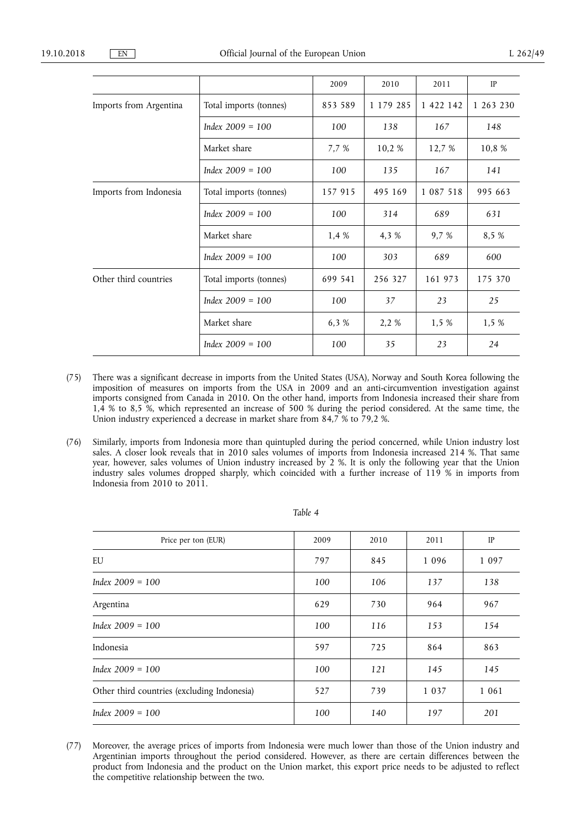|                        |                        | 2009    | 2010      | 2011          | IP        |
|------------------------|------------------------|---------|-----------|---------------|-----------|
| Imports from Argentina | Total imports (tonnes) | 853 589 | 1 179 285 | 1 422 142     | 1 263 230 |
|                        | Index $2009 = 100$     | 100     | 138       | 167           | 148       |
|                        | Market share           | 7,7 %   | 10,2%     | 12,7 %        | 10,8 %    |
|                        | Index $2009 = 100$     | 100     | 135       | 167           | 141       |
| Imports from Indonesia | Total imports (tonnes) | 157 915 | 495 169   | 1 0 8 7 5 1 8 | 995 663   |
|                        | Index $2009 = 100$     | 100     | 314       | 689           | 631       |
|                        | Market share           | 1,4 %   | 4,3 %     | 9.7 %         | 8,5 %     |
|                        | Index $2009 = 100$     | 100     | 303       | 689           | 600       |
| Other third countries  | Total imports (tonnes) | 699 541 | 256 327   | 161 973       | 175 370   |
|                        | Index $2009 = 100$     | 100     | 37        | 23            | 25        |
|                        | Market share           | 6,3 %   | 2,2 %     | 1,5 %         | 1,5 %     |
|                        | Index $2009 = 100$     | 100     | 35        | 23            | 24        |

- (75) There was a significant decrease in imports from the United States (USA), Norway and South Korea following the imposition of measures on imports from the USA in 2009 and an anti-circumvention investigation against imports consigned from Canada in 2010. On the other hand, imports from Indonesia increased their share from 1,4 % to 8,5 %, which represented an increase of 500 % during the period considered. At the same time, the Union industry experienced a decrease in market share from 84,7 % to 79,2 %.
- (76) Similarly, imports from Indonesia more than quintupled during the period concerned, while Union industry lost sales. A closer look reveals that in 2010 sales volumes of imports from Indonesia increased 214 %. That same year, however, sales volumes of Union industry increased by 2 %. It is only the following year that the Union industry sales volumes dropped sharply, which coincided with a further increase of 119 % in imports from Indonesia from 2010 to 2011.

| Price per ton (EUR)                         | 2009 | 2010 | 2011    | IP      |
|---------------------------------------------|------|------|---------|---------|
| EU                                          | 797  | 845  | 1 0 9 6 | 1 0 9 7 |
| Index $2009 = 100$                          | 100  | 106  | 137     | 138     |
| Argentina                                   | 629  | 730  | 964     | 967     |
| Index $2009 = 100$                          | 100  | 116  | 153     | 154     |
| Indonesia                                   | 597  | 725  | 864     | 863     |
| Index $2009 = 100$                          | 100  | 121  | 145     | 145     |
| Other third countries (excluding Indonesia) | 527  | 739  | 1 0 3 7 | 1 0 6 1 |
| Index $2009 = 100$                          | 100  | 140  | 197     | 201     |

## *Table 4*

(77) Moreover, the average prices of imports from Indonesia were much lower than those of the Union industry and Argentinian imports throughout the period considered. However, as there are certain differences between the product from Indonesia and the product on the Union market, this export price needs to be adjusted to reflect the competitive relationship between the two.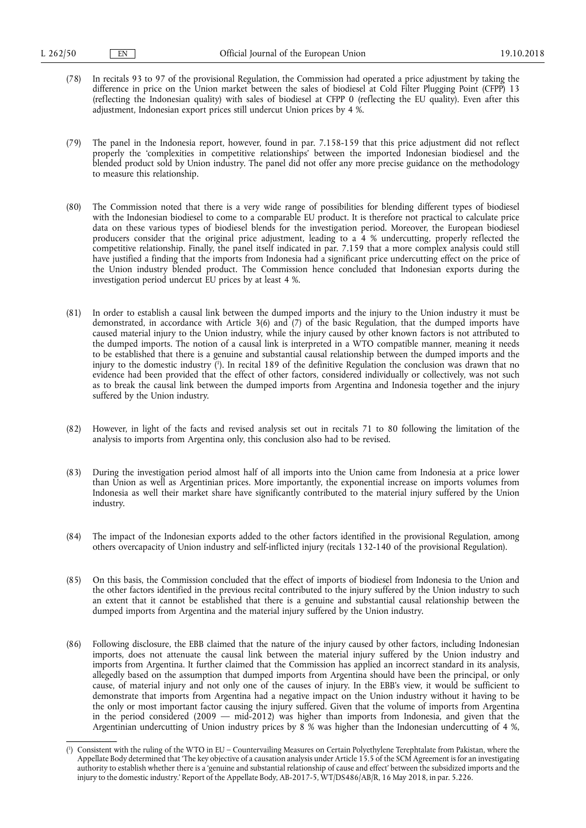- (78) In recitals 93 to 97 of the provisional Regulation, the Commission had operated a price adjustment by taking the difference in price on the Union market between the sales of biodiesel at Cold Filter Plugging Point (CFPP) 13 (reflecting the Indonesian quality) with sales of biodiesel at CFPP 0 (reflecting the EU quality). Even after this adjustment, Indonesian export prices still undercut Union prices by 4 %.
- (79) The panel in the Indonesia report, however, found in par. 7.158-159 that this price adjustment did not reflect properly the 'complexities in competitive relationships' between the imported Indonesian biodiesel and the blended product sold by Union industry. The panel did not offer any more precise guidance on the methodology to measure this relationship.
- (80) The Commission noted that there is a very wide range of possibilities for blending different types of biodiesel with the Indonesian biodiesel to come to a comparable EU product. It is therefore not practical to calculate price data on these various types of biodiesel blends for the investigation period. Moreover, the European biodiesel producers consider that the original price adjustment, leading to a 4 % undercutting, properly reflected the competitive relationship. Finally, the panel itself indicated in par. 7.159 that a more complex analysis could still have justified a finding that the imports from Indonesia had a significant price undercutting effect on the price of the Union industry blended product. The Commission hence concluded that Indonesian exports during the investigation period undercut EU prices by at least 4 %.
- (81) In order to establish a causal link between the dumped imports and the injury to the Union industry it must be demonstrated, in accordance with Article 3(6) and (7) of the basic Regulation, that the dumped imports have caused material injury to the Union industry, while the injury caused by other known factors is not attributed to the dumped imports. The notion of a causal link is interpreted in a WTO compatible manner, meaning it needs to be established that there is a genuine and substantial causal relationship between the dumped imports and the injury to the domestic industry ( 1 ). In recital 189 of the definitive Regulation the conclusion was drawn that no evidence had been provided that the effect of other factors, considered individually or collectively, was not such as to break the causal link between the dumped imports from Argentina and Indonesia together and the injury suffered by the Union industry.
- (82) However, in light of the facts and revised analysis set out in recitals 71 to 80 following the limitation of the analysis to imports from Argentina only, this conclusion also had to be revised.
- (83) During the investigation period almost half of all imports into the Union came from Indonesia at a price lower than Union as well as Argentinian prices. More importantly, the exponential increase on imports volumes from Indonesia as well their market share have significantly contributed to the material injury suffered by the Union industry.
- (84) The impact of the Indonesian exports added to the other factors identified in the provisional Regulation, among others overcapacity of Union industry and self-inflicted injury (recitals 132-140 of the provisional Regulation).
- (85) On this basis, the Commission concluded that the effect of imports of biodiesel from Indonesia to the Union and the other factors identified in the previous recital contributed to the injury suffered by the Union industry to such an extent that it cannot be established that there is a genuine and substantial causal relationship between the dumped imports from Argentina and the material injury suffered by the Union industry.
- (86) Following disclosure, the EBB claimed that the nature of the injury caused by other factors, including Indonesian imports, does not attenuate the causal link between the material injury suffered by the Union industry and imports from Argentina. It further claimed that the Commission has applied an incorrect standard in its analysis, allegedly based on the assumption that dumped imports from Argentina should have been the principal, or only cause, of material injury and not only one of the causes of injury. In the EBB's view, it would be sufficient to demonstrate that imports from Argentina had a negative impact on the Union industry without it having to be the only or most important factor causing the injury suffered. Given that the volume of imports from Argentina in the period considered (2009 — mid-2012) was higher than imports from Indonesia, and given that the Argentinian undercutting of Union industry prices by 8 % was higher than the Indonesian undercutting of 4 %,

<sup>(</sup> 1 ) Consistent with the ruling of the WTO in EU – Countervailing Measures on Certain Polyethylene Terephtalate from Pakistan, where the Appellate Body determined that 'The key objective of a causation analysis under Article 15.5 of the SCM Agreement is for an investigating authority to establish whether there is a 'genuine and substantial relationship of cause and effect' between the subsidized imports and the injury to the domestic industry.' Report of the Appellate Body, AB-2017-5, WT/DS486/AB/R, 16 May 2018, in par. 5.226.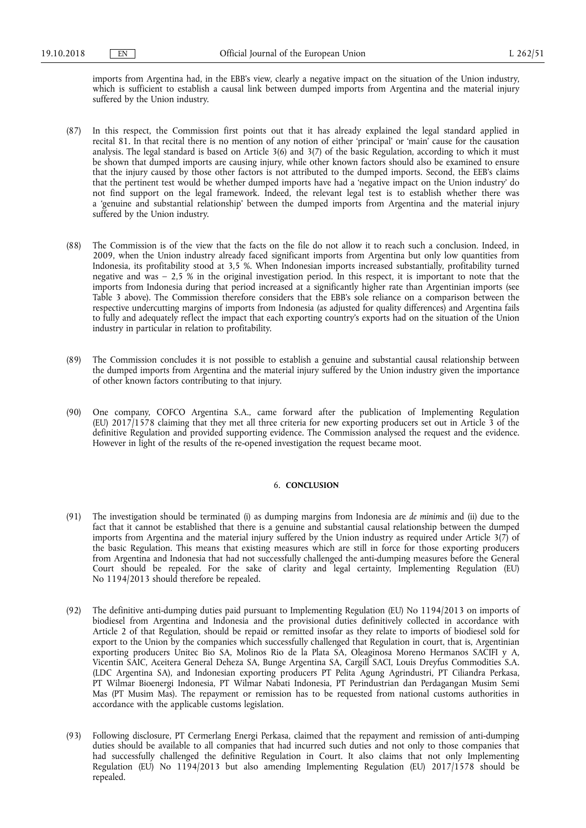imports from Argentina had, in the EBB's view, clearly a negative impact on the situation of the Union industry, which is sufficient to establish a causal link between dumped imports from Argentina and the material injury suffered by the Union industry.

- (87) In this respect, the Commission first points out that it has already explained the legal standard applied in recital 81. In that recital there is no mention of any notion of either 'principal' or 'main' cause for the causation analysis. The legal standard is based on Article 3(6) and 3(7) of the basic Regulation, according to which it must be shown that dumped imports are causing injury, while other known factors should also be examined to ensure that the injury caused by those other factors is not attributed to the dumped imports. Second, the EEB's claims that the pertinent test would be whether dumped imports have had a 'negative impact on the Union industry' do not find support on the legal framework. Indeed, the relevant legal test is to establish whether there was a 'genuine and substantial relationship' between the dumped imports from Argentina and the material injury suffered by the Union industry.
- (88) The Commission is of the view that the facts on the file do not allow it to reach such a conclusion. Indeed, in 2009, when the Union industry already faced significant imports from Argentina but only low quantities from Indonesia, its profitability stood at 3,5 %. When Indonesian imports increased substantially, profitability turned negative and was  $-2.5\%$  in the original investigation period. In this respect, it is important to note that the imports from Indonesia during that period increased at a significantly higher rate than Argentinian imports (see Table 3 above). The Commission therefore considers that the EBB's sole reliance on a comparison between the respective undercutting margins of imports from Indonesia (as adjusted for quality differences) and Argentina fails to fully and adequately reflect the impact that each exporting country's exports had on the situation of the Union industry in particular in relation to profitability.
- (89) The Commission concludes it is not possible to establish a genuine and substantial causal relationship between the dumped imports from Argentina and the material injury suffered by the Union industry given the importance of other known factors contributing to that injury.
- (90) One company, COFCO Argentina S.A., came forward after the publication of Implementing Regulation (EU) 2017/1578 claiming that they met all three criteria for new exporting producers set out in Article 3 of the definitive Regulation and provided supporting evidence. The Commission analysed the request and the evidence. However in light of the results of the re-opened investigation the request became moot.

### 6. **CONCLUSION**

- (91) The investigation should be terminated (i) as dumping margins from Indonesia are *de minimis* and (ii) due to the fact that it cannot be established that there is a genuine and substantial causal relationship between the dumped imports from Argentina and the material injury suffered by the Union industry as required under Article 3(7) of the basic Regulation. This means that existing measures which are still in force for those exporting producers from Argentina and Indonesia that had not successfully challenged the anti-dumping measures before the General Court should be repealed. For the sake of clarity and legal certainty, Implementing Regulation (EU) No 1194/2013 should therefore be repealed.
- (92) The definitive anti-dumping duties paid pursuant to Implementing Regulation (EU) No 1194/2013 on imports of biodiesel from Argentina and Indonesia and the provisional duties definitively collected in accordance with Article 2 of that Regulation, should be repaid or remitted insofar as they relate to imports of biodiesel sold for export to the Union by the companies which successfully challenged that Regulation in court, that is, Argentinian exporting producers Unitec Bio SA, Molinos Rio de la Plata SA, Oleaginosa Moreno Hermanos SACIFI y A, Vicentin SAIC, Aceitera General Deheza SA, Bunge Argentina SA, Cargill SACI, Louis Dreyfus Commodities S.A. (LDC Argentina SA), and Indonesian exporting producers PT Pelita Agung Agrindustri, PT Ciliandra Perkasa, PT Wilmar Bioenergi Indonesia, PT Wilmar Nabati Indonesia, PT Perindustrian dan Perdagangan Musim Semi Mas (PT Musim Mas). The repayment or remission has to be requested from national customs authorities in accordance with the applicable customs legislation.
- (93) Following disclosure, PT Cermerlang Energi Perkasa, claimed that the repayment and remission of anti-dumping duties should be available to all companies that had incurred such duties and not only to those companies that had successfully challenged the definitive Regulation in Court. It also claims that not only Implementing Regulation (EU) No 1194/2013 but also amending Implementing Regulation (EU) 2017/1578 should be repealed.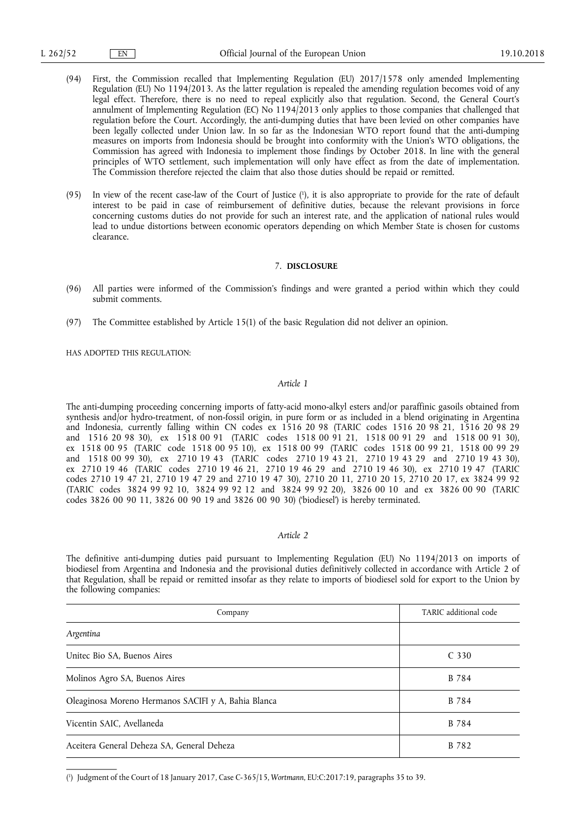- (94) First, the Commission recalled that Implementing Regulation (EU) 2017/1578 only amended Implementing Regulation (EU) No 1194/2013. As the latter regulation is repealed the amending regulation becomes void of any legal effect. Therefore, there is no need to repeal explicitly also that regulation. Second, the General Court's annulment of Implementing Regulation (EC) No 1194/2013 only applies to those companies that challenged that regulation before the Court. Accordingly, the anti-dumping duties that have been levied on other companies have been legally collected under Union law. In so far as the Indonesian WTO report found that the anti-dumping measures on imports from Indonesia should be brought into conformity with the Union's WTO obligations, the Commission has agreed with Indonesia to implement those findings by October 2018. In line with the general principles of WTO settlement, such implementation will only have effect as from the date of implementation. The Commission therefore rejected the claim that also those duties should be repaid or remitted.
- (95) In view of the recent case-law of the Court of Justice ( 1 ), it is also appropriate to provide for the rate of default interest to be paid in case of reimbursement of definitive duties, because the relevant provisions in force concerning customs duties do not provide for such an interest rate, and the application of national rules would lead to undue distortions between economic operators depending on which Member State is chosen for customs clearance.

# 7. **DISCLOSURE**

- (96) All parties were informed of the Commission's findings and were granted a period within which they could submit comments.
- (97) The Committee established by Article 15(1) of the basic Regulation did not deliver an opinion.

HAS ADOPTED THIS REGULATION:

# *Article 1*

The anti-dumping proceeding concerning imports of fatty-acid mono-alkyl esters and/or paraffinic gasoils obtained from synthesis and/or hydro-treatment, of non-fossil origin, in pure form or as included in a blend originating in Argentina and Indonesia, currently falling within CN codes ex 1516 20 98 (TARIC codes 1516 20 98 21, 1516 20 98 29 and 1516 20 98 30), ex 1518 00 91 (TARIC codes 1518 00 91 21, 1518 00 91 29 and 1518 00 91 30), ex 1518 00 95 (TARIC code 1518 00 95 10), ex 1518 00 99 (TARIC codes 1518 00 99 21, 1518 00 99 29 and 1518 00 99 30), ex 2710 19 43 (TARIC codes 2710 19 43 21, 2710 19 43 29 and 2710 19 43 30), ex 2710 19 46 (TARIC codes 2710 19 46 21, 2710 19 46 29 and 2710 19 46 30), ex 2710 19 47 (TARIC codes 2710 19 47 21, 2710 19 47 29 and 2710 19 47 30), 2710 20 11, 2710 20 15, 2710 20 17, ex 3824 99 92 (TARIC codes 3824 99 92 10, 3824 99 92 12 and 3824 99 92 20), 3826 00 10 and ex 3826 00 90 (TARIC codes 3826 00 90 11, 3826 00 90 19 and 3826 00 90 30) ('biodiesel') is hereby terminated.

# *Article 2*

The definitive anti-dumping duties paid pursuant to Implementing Regulation (EU) No 1194/2013 on imports of biodiesel from Argentina and Indonesia and the provisional duties definitively collected in accordance with Article 2 of that Regulation, shall be repaid or remitted insofar as they relate to imports of biodiesel sold for export to the Union by the following companies:

| Company                                             | TARIC additional code |
|-----------------------------------------------------|-----------------------|
| Argentina                                           |                       |
| Unitec Bio SA, Buenos Aires                         | C <sub>330</sub>      |
| Molinos Agro SA, Buenos Aires                       | B 784                 |
| Oleaginosa Moreno Hermanos SACIFI y A, Bahia Blanca | B 784                 |
| Vicentin SAIC, Avellaneda                           | B 784                 |
| Aceitera General Deheza SA, General Deheza          | B 782                 |

( 1 ) Judgment of the Court of 18 January 2017, Case C-365/15, *Wortmann*, EU:C:2017:19, paragraphs 35 to 39.